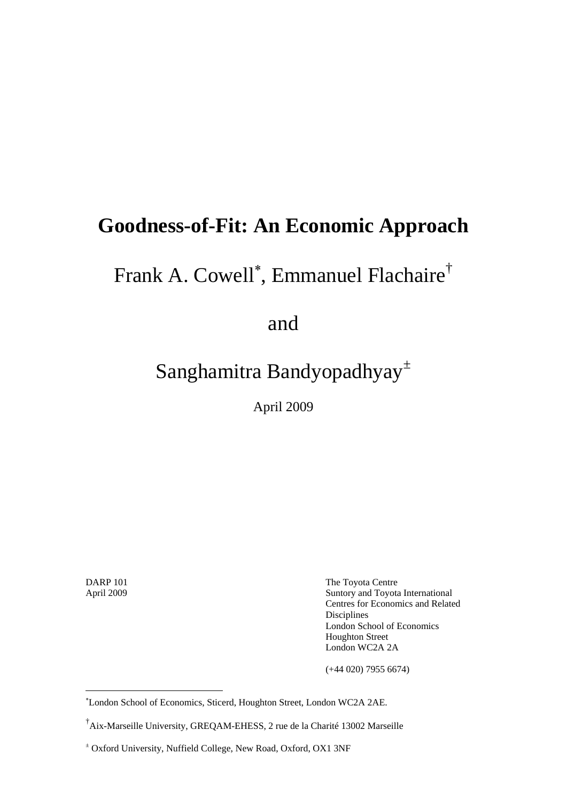## **Goodness-of-Fit: An Economic Approach**

# Frank A. Cowell<sup>∗</sup> , Emmanuel Flachaire†

and

## Sanghamitra Bandyopadhyay<sup>±</sup>

April 2009

1

DARP 101 **The Toyota Centre** April 2009 Suntory and Toyota International Centres for Economics and Related Disciplines London School of Economics Houghton Street London WC2A 2A

(+44 020) 7955 6674)

<sup>∗</sup> London School of Economics, Sticerd, Houghton Street, London WC2A 2AE.

<sup>†</sup> Aix-Marseille University, GREQAM-EHESS, 2 rue de la Charité 13002 Marseille

<sup>±</sup> Oxford University, Nuffield College, New Road, Oxford, OX1 3NF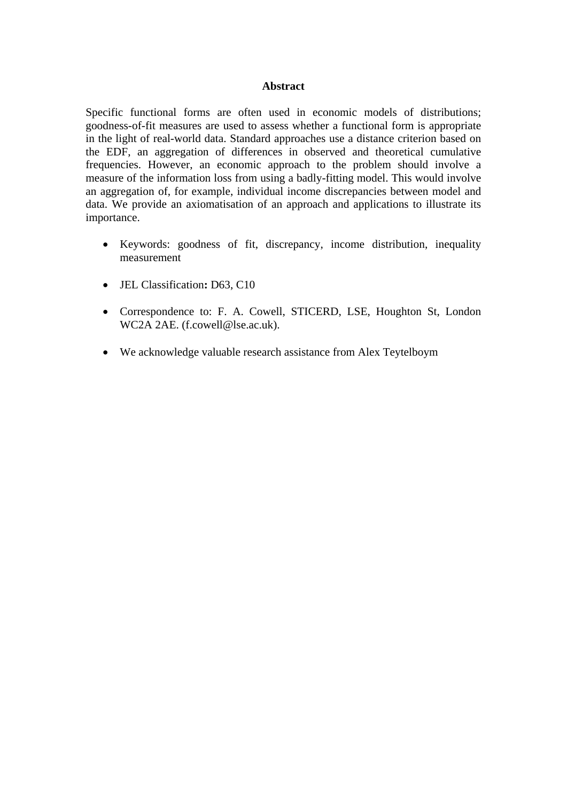#### **Abstract**

Specific functional forms are often used in economic models of distributions; goodness-of-fit measures are used to assess whether a functional form is appropriate in the light of real-world data. Standard approaches use a distance criterion based on the EDF, an aggregation of differences in observed and theoretical cumulative frequencies. However, an economic approach to the problem should involve a measure of the information loss from using a badly-fitting model. This would involve an aggregation of, for example, individual income discrepancies between model and data. We provide an axiomatisation of an approach and applications to illustrate its importance.

- Keywords: goodness of fit, discrepancy, income distribution, inequality measurement
- JEL Classification**:** D63, C10
- Correspondence to: F. A. Cowell, STICERD, LSE, Houghton St, London WC2A 2AE. (f.cowell@lse.ac.uk).
- We acknowledge valuable research assistance from Alex Teytelboym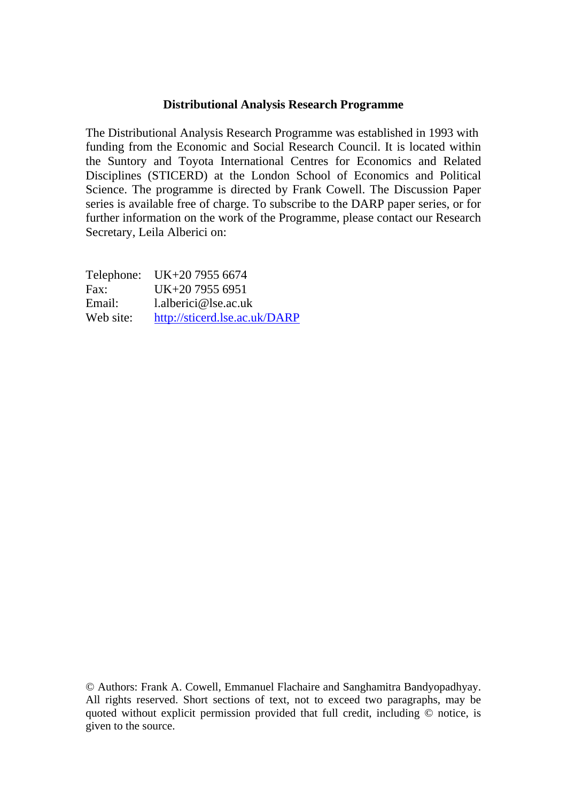#### **Distributional Analysis Research Programme**

The Distributional Analysis Research Programme was established in 1993 with funding from the Economic and Social Research Council. It is located within the Suntory and Toyota International Centres for Economics and Related Disciplines (STICERD) at the London School of Economics and Political Science. The programme is directed by Frank Cowell. The Discussion Paper series is available free of charge. To subscribe to the DARP paper series, or for further information on the work of the Programme, please contact our Research Secretary, Leila Alberici on:

|           | Telephone: UK+20 7955 6674    |
|-----------|-------------------------------|
| Fax:      | UK+20 7955 6951               |
| Email:    | $l.$ alberici@lse.ac.uk       |
| Web site: | http://sticerd.lse.ac.uk/DARP |

© Authors: Frank A. Cowell, Emmanuel Flachaire and Sanghamitra Bandyopadhyay. All rights reserved. Short sections of text, not to exceed two paragraphs, may be quoted without explicit permission provided that full credit, including © notice, is given to the source.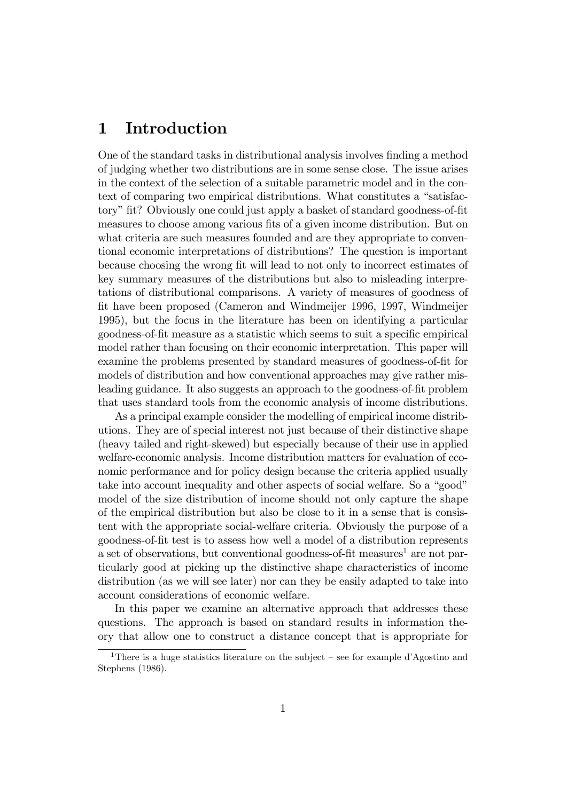## 1 Introduction

One of the standard tasks in distributional analysis involves finding a method of judging whether two distributions are in some sense close. The issue arises in the context of the selection of a suitable parametric model and in the context of comparing two empirical distributions. What constitutes a "satisfactory" fit? Obviously one could just apply a basket of standard goodness-of-fit measures to choose among various fits of a given income distribution. But on what criteria are such measures founded and are they appropriate to conventional economic interpretations of distributions? The question is important because choosing the wrong fit will lead to not only to incorrect estimates of key summary measures of the distributions but also to misleading interpretations of distributional comparisons. A variety of measures of goodness of Öt have been proposed (Cameron and Windmeijer 1996, 1997, Windmeijer 1995), but the focus in the literature has been on identifying a particular goodness-of-fit measure as a statistic which seems to suit a specific empirical model rather than focusing on their economic interpretation. This paper will examine the problems presented by standard measures of goodness-of-Öt for models of distribution and how conventional approaches may give rather misleading guidance. It also suggests an approach to the goodness-of-fit problem that uses standard tools from the economic analysis of income distributions.

As a principal example consider the modelling of empirical income distributions. They are of special interest not just because of their distinctive shape (heavy tailed and right-skewed) but especially because of their use in applied welfare-economic analysis. Income distribution matters for evaluation of economic performance and for policy design because the criteria applied usually take into account inequality and other aspects of social welfare. So a "good" model of the size distribution of income should not only capture the shape of the empirical distribution but also be close to it in a sense that is consistent with the appropriate social-welfare criteria. Obviously the purpose of a goodness-of-Öt test is to assess how well a model of a distribution represents a set of observations, but conventional goodness-of-fit measures<sup>1</sup> are not particularly good at picking up the distinctive shape characteristics of income distribution (as we will see later) nor can they be easily adapted to take into account considerations of economic welfare.

In this paper we examine an alternative approach that addresses these questions. The approach is based on standard results in information theory that allow one to construct a distance concept that is appropriate for

<sup>&</sup>lt;sup>1</sup>There is a huge statistics literature on the subject  $\overline{\phantom{a}}$  see for example d'Agostino and Stephens (1986).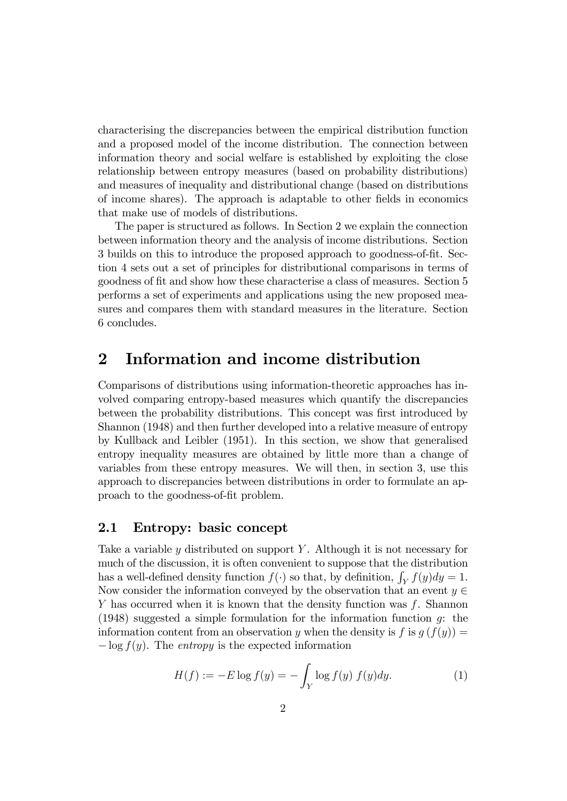characterising the discrepancies between the empirical distribution function and a proposed model of the income distribution. The connection between information theory and social welfare is established by exploiting the close relationship between entropy measures (based on probability distributions) and measures of inequality and distributional change (based on distributions of income shares). The approach is adaptable to other Öelds in economics that make use of models of distributions.

The paper is structured as follows. In Section 2 we explain the connection between information theory and the analysis of income distributions. Section 3 builds on this to introduce the proposed approach to goodness-of-fit. Section 4 sets out a set of principles for distributional comparisons in terms of goodness of Öt and show how these characterise a class of measures. Section 5 performs a set of experiments and applications using the new proposed measures and compares them with standard measures in the literature. Section 6 concludes.

### 2 Information and income distribution

Comparisons of distributions using information-theoretic approaches has involved comparing entropy-based measures which quantify the discrepancies between the probability distributions. This concept was first introduced by Shannon (1948) and then further developed into a relative measure of entropy by Kullback and Leibler (1951). In this section, we show that generalised entropy inequality measures are obtained by little more than a change of variables from these entropy measures. We will then, in section 3, use this approach to discrepancies between distributions in order to formulate an approach to the goodness-of-fit problem.

#### 2.1 Entropy: basic concept

Take a variable  $\gamma$  distributed on support Y. Although it is not necessary for much of the discussion, it is often convenient to suppose that the distribution has a well-defined density function  $f(\cdot)$  so that, by definition,  $\int_Y f(y) dy = 1$ . Now consider the information conveyed by the observation that an event  $y \in$ Y has occurred when it is known that the density function was  $f$ . Shannon (1948) suggested a simple formulation for the information function g: the information content from an observation y when the density is f is  $q(f(y)) =$  $-\log f(y)$ . The *entropy* is the expected information

$$
H(f) := -E \log f(y) = -\int_{Y} \log f(y) f(y) dy.
$$
 (1)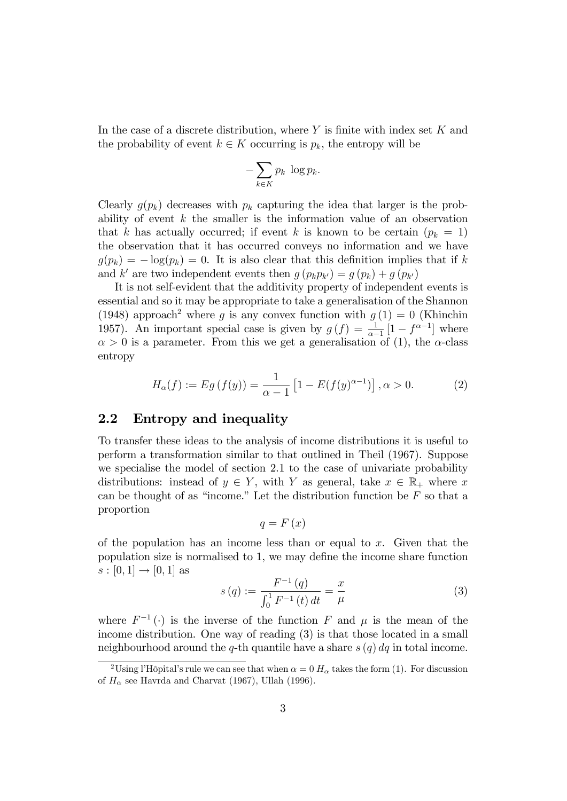In the case of a discrete distribution, where  $Y$  is finite with index set  $K$  and the probability of event  $k \in K$  occurring is  $p_k$ , the entropy will be

$$
-\sum_{k\in K}p_k\,\log p_k.
$$

Clearly  $g(p_k)$  decreases with  $p_k$  capturing the idea that larger is the probability of event  $k$  the smaller is the information value of an observation that k has actually occurred; if event k is known to be certain  $(p_k = 1)$ the observation that it has occurred conveys no information and we have  $g(p_k) = -\log(p_k) = 0$ . It is also clear that this definition implies that if k and k' are two independent events then  $g(p_k p_{k'}) = g(p_k) + g(p_{k'})$ 

It is not self-evident that the additivity property of independent events is essential and so it may be appropriate to take a generalisation of the Shannon (1948) approach<sup>2</sup> where g is any convex function with  $g(1) = 0$  (Khinchin 1957). An important special case is given by  $g(f) = \frac{1}{\alpha - 1} [1 - f^{\alpha - 1}]$  where  $\alpha > 0$  is a parameter. From this we get a generalisation of (1), the  $\alpha$ -class entropy

$$
H_{\alpha}(f) := Eg(f(y)) = \frac{1}{\alpha - 1} \left[ 1 - E(f(y)^{\alpha - 1}) \right], \alpha > 0.
$$
 (2)

#### 2.2 Entropy and inequality

To transfer these ideas to the analysis of income distributions it is useful to perform a transformation similar to that outlined in Theil (1967). Suppose we specialise the model of section 2.1 to the case of univariate probability distributions: instead of  $y \in Y$ , with Y as general, take  $x \in \mathbb{R}_+$  where x can be thought of as "income." Let the distribution function be  $F$  so that a proportion

$$
q=F\left( x\right)
$$

of the population has an income less than or equal to  $x$ . Given that the population size is normalised to  $1$ , we may define the income share function  $s : [0, 1] \to [0, 1]$  as

$$
s(q) := \frac{F^{-1}(q)}{\int_0^1 F^{-1}(t) dt} = \frac{x}{\mu}
$$
 (3)

where  $F^{-1}(\cdot)$  is the inverse of the function F and  $\mu$  is the mean of the income distribution. One way of reading (3) is that those located in a small neighbourhood around the q-th quantile have a share  $s(q) dq$  in total income.

<sup>&</sup>lt;sup>2</sup>Using l'Hôpital's rule we can see that when  $\alpha = 0$  H<sub>α</sub> takes the form (1). For discussion of  $H_{\alpha}$  see Havrda and Charvat (1967), Ullah (1996).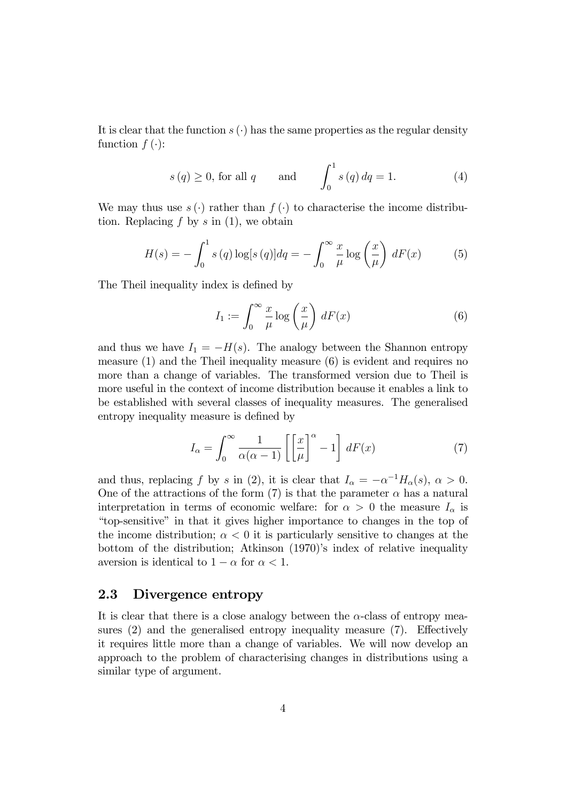It is clear that the function  $s(\cdot)$  has the same properties as the regular density function  $f(\cdot)$ :

$$
s(q) \ge 0
$$
, for all q and  $\int_0^1 s(q) dq = 1.$  (4)

We may thus use  $s(\cdot)$  rather than  $f(\cdot)$  to characterise the income distribution. Replacing  $f$  by  $s$  in  $(1)$ , we obtain

$$
H(s) = -\int_0^1 s(q) \log[s(q)] dq = -\int_0^\infty \frac{x}{\mu} \log\left(\frac{x}{\mu}\right) dF(x) \tag{5}
$$

The Theil inequality index is defined by

$$
I_1 := \int_0^\infty \frac{x}{\mu} \log\left(\frac{x}{\mu}\right) dF(x) \tag{6}
$$

and thus we have  $I_1 = -H(s)$ . The analogy between the Shannon entropy measure  $(1)$  and the Theil inequality measure  $(6)$  is evident and requires no more than a change of variables. The transformed version due to Theil is more useful in the context of income distribution because it enables a link to be established with several classes of inequality measures. The generalised entropy inequality measure is defined by

$$
I_{\alpha} = \int_0^{\infty} \frac{1}{\alpha(\alpha - 1)} \left[ \left[ \frac{x}{\mu} \right]^{\alpha} - 1 \right] dF(x) \tag{7}
$$

and thus, replacing f by s in (2), it is clear that  $I_{\alpha} = -\alpha^{-1} H_{\alpha}(s), \alpha > 0$ . One of the attractions of the form (7) is that the parameter  $\alpha$  has a natural interpretation in terms of economic welfare: for  $\alpha > 0$  the measure  $I_{\alpha}$  is ìtop-sensitiveî in that it gives higher importance to changes in the top of the income distribution;  $\alpha < 0$  it is particularly sensitive to changes at the bottom of the distribution; Atkinson  $(1970)$ 's index of relative inequality aversion is identical to  $1 - \alpha$  for  $\alpha < 1$ .

#### 2.3 Divergence entropy

It is clear that there is a close analogy between the  $\alpha$ -class of entropy measures  $(2)$  and the generalised entropy inequality measure  $(7)$ . Effectively it requires little more than a change of variables. We will now develop an approach to the problem of characterising changes in distributions using a similar type of argument.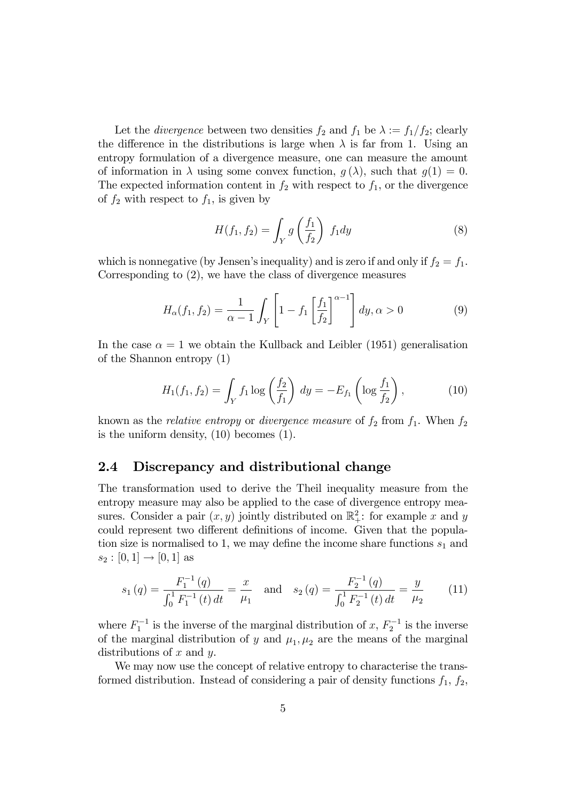Let the *divergence* between two densities  $f_2$  and  $f_1$  be  $\lambda := f_1/f_2$ ; clearly the difference in the distributions is large when  $\lambda$  is far from 1. Using an entropy formulation of a divergence measure, one can measure the amount of information in  $\lambda$  using some convex function,  $g(\lambda)$ , such that  $g(1) = 0$ . The expected information content in  $f_2$  with respect to  $f_1$ , or the divergence of  $f_2$  with respect to  $f_1$ , is given by

$$
H(f_1, f_2) = \int_Y g\left(\frac{f_1}{f_2}\right) f_1 dy \tag{8}
$$

which is nonnegative (by Jensen's inequality) and is zero if and only if  $f_2 = f_1$ . Corresponding to (2), we have the class of divergence measures

$$
H_{\alpha}(f_1, f_2) = \frac{1}{\alpha - 1} \int_Y \left[ 1 - f_1 \left[ \frac{f_1}{f_2} \right]^{\alpha - 1} \right] dy, \alpha > 0 \tag{9}
$$

In the case  $\alpha = 1$  we obtain the Kullback and Leibler (1951) generalisation of the Shannon entropy (1)

$$
H_1(f_1, f_2) = \int_Y f_1 \log\left(\frac{f_2}{f_1}\right) dy = -E_{f_1}\left(\log \frac{f_1}{f_2}\right),\tag{10}
$$

known as the *relative entropy* or *divergence measure* of  $f_2$  from  $f_1$ . When  $f_2$ is the uniform density, (10) becomes (1).

#### 2.4 Discrepancy and distributional change

The transformation used to derive the Theil inequality measure from the entropy measure may also be applied to the case of divergence entropy measures. Consider a pair  $(x, y)$  jointly distributed on  $\mathbb{R}^2_+$ : for example x and y could represent two different definitions of income. Given that the population size is normalised to 1, we may define the income share functions  $s_1$  and  $s_2 : [0, 1] \to [0, 1]$  as

$$
s_1(q) = \frac{F_1^{-1}(q)}{\int_0^1 F_1^{-1}(t) dt} = \frac{x}{\mu_1} \quad \text{and} \quad s_2(q) = \frac{F_2^{-1}(q)}{\int_0^1 F_2^{-1}(t) dt} = \frac{y}{\mu_2} \tag{11}
$$

where  $F_1^{-1}$  is the inverse of the marginal distribution of x,  $F_2^{-1}$  is the inverse of the marginal distribution of y and  $\mu_1, \mu_2$  are the means of the marginal distributions of  $x$  and  $y$ .

We may now use the concept of relative entropy to characterise the transformed distribution. Instead of considering a pair of density functions  $f_1, f_2$ ,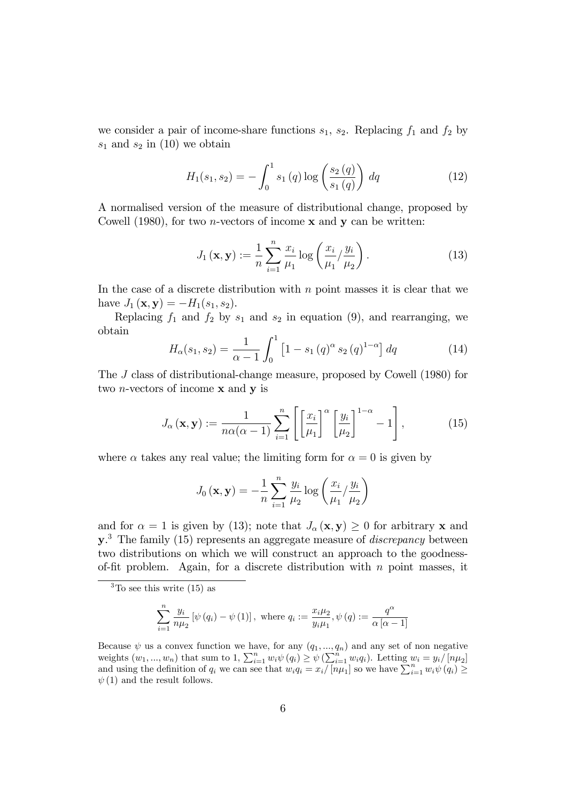we consider a pair of income-share functions  $s_1$ ,  $s_2$ . Replacing  $f_1$  and  $f_2$  by  $s_1$  and  $s_2$  in (10) we obtain

$$
H_1(s_1, s_2) = -\int_0^1 s_1(q) \log \left(\frac{s_2(q)}{s_1(q)}\right) dq \tag{12}
$$

A normalised version of the measure of distributional change, proposed by Cowell (1980), for two *n*-vectors of income  $x$  and  $y$  can be written:

$$
J_1(\mathbf{x}, \mathbf{y}) := \frac{1}{n} \sum_{i=1}^n \frac{x_i}{\mu_1} \log \left( \frac{x_i}{\mu_1} / \frac{y_i}{\mu_2} \right). \tag{13}
$$

In the case of a discrete distribution with  $n$  point masses it is clear that we have  $J_1(\mathbf{x}, \mathbf{y}) = -H_1(s_1, s_2)$ .

Replacing  $f_1$  and  $f_2$  by  $s_1$  and  $s_2$  in equation (9), and rearranging, we obtain

$$
H_{\alpha}(s_1, s_2) = \frac{1}{\alpha - 1} \int_0^1 \left[ 1 - s_1 \left( q \right)^{\alpha} s_2 \left( q \right)^{1 - \alpha} \right] dq \tag{14}
$$

The J class of distributional-change measure, proposed by Cowell (1980) for two *n*-vectors of income  $x$  and  $y$  is

$$
J_{\alpha}(\mathbf{x}, \mathbf{y}) := \frac{1}{n\alpha(\alpha - 1)} \sum_{i=1}^{n} \left[ \left[ \frac{x_i}{\mu_1} \right]^{\alpha} \left[ \frac{y_i}{\mu_2} \right]^{1-\alpha} - 1 \right],\tag{15}
$$

where  $\alpha$  takes any real value; the limiting form for  $\alpha = 0$  is given by

$$
J_0(\mathbf{x}, \mathbf{y}) = -\frac{1}{n} \sum_{i=1}^n \frac{y_i}{\mu_2} \log \left( \frac{x_i}{\mu_1} / \frac{y_i}{\mu_2} \right)
$$

and for  $\alpha = 1$  is given by (13); note that  $J_{\alpha}(\mathbf{x}, \mathbf{y}) \geq 0$  for arbitrary **x** and  $y^3$ . The family (15) represents an aggregate measure of *discrepancy* between two distributions on which we will construct an approach to the goodnessof-fit problem. Again, for a discrete distribution with  $n$  point masses, it

$$
\sum_{i=1}^{n} \frac{y_i}{n\mu_2} \left[ \psi(q_i) - \psi(1) \right], \text{ where } q_i := \frac{x_i \mu_2}{y_i \mu_1}, \psi(q) := \frac{q^{\alpha}}{\alpha [\alpha - 1]}
$$

 ${}^{3}$ To see this write (15) as

Because  $\psi$  us a convex function we have, for any  $(q_1, ..., q_n)$  and any set of non negative weights  $(w_1, ..., w_n)$  that sum to 1,  $\sum_{i=1}^n w_i \psi(q_i) \geq \psi(\sum_{i=1}^n w_i q_i)$ . Letting  $w_i = y_i/[n\mu_2]$ and using the definition of  $q_i$  we can see that  $w_i q_i = x_i/[n\mu_1]$  so we have  $\sum_{i=1}^n w_i \psi(q_i) \ge$  $\psi(1)$  and the result follows.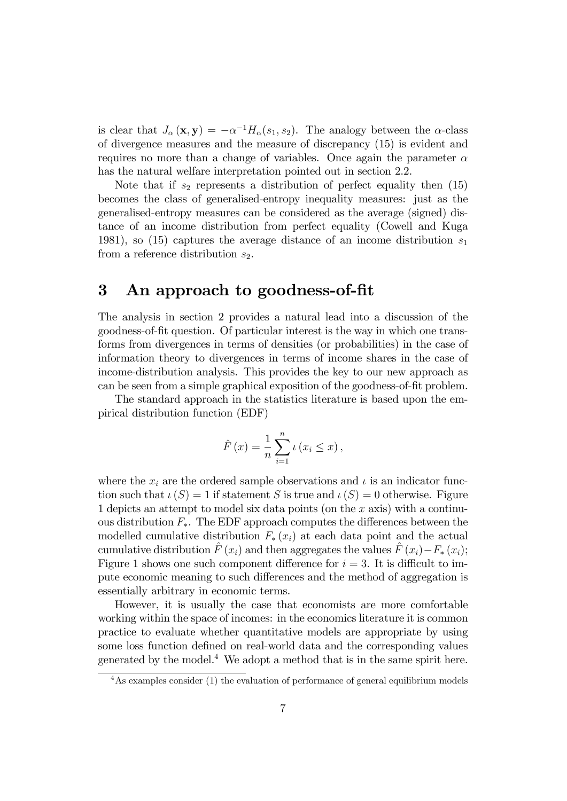is clear that  $J_{\alpha}(\mathbf{x}, \mathbf{y}) = -\alpha^{-1} H_{\alpha}(s_1, s_2)$ . The analogy between the  $\alpha$ -class of divergence measures and the measure of discrepancy (15) is evident and requires no more than a change of variables. Once again the parameter  $\alpha$ has the natural welfare interpretation pointed out in section 2.2.

Note that if  $s_2$  represents a distribution of perfect equality then  $(15)$ becomes the class of generalised-entropy inequality measures: just as the generalised-entropy measures can be considered as the average (signed) distance of an income distribution from perfect equality (Cowell and Kuga 1981), so (15) captures the average distance of an income distribution  $s_1$ from a reference distribution  $s_2$ .

## 3 An approach to goodness-of-Öt

The analysis in section 2 provides a natural lead into a discussion of the goodness-of-Öt question. Of particular interest is the way in which one transforms from divergences in terms of densities (or probabilities) in the case of information theory to divergences in terms of income shares in the case of income-distribution analysis. This provides the key to our new approach as can be seen from a simple graphical exposition of the goodness-of-fit problem.

The standard approach in the statistics literature is based upon the empirical distribution function (EDF)

$$
\hat{F}(x) = \frac{1}{n} \sum_{i=1}^{n} \iota(x_i \leq x),
$$

where the  $x_i$  are the ordered sample observations and  $\iota$  is an indicator function such that  $\iota(S) = 1$  if statement S is true and  $\iota(S) = 0$  otherwise. Figure 1 depicts an attempt to model six data points (on the  $x$  axis) with a continuous distribution  $F_*$ . The EDF approach computes the differences between the modelled cumulative distribution  $F_*(x_i)$  at each data point and the actual cumulative distribution  $\tilde{F} (x_i)$  and then aggregates the values  $\hat{F} (x_i) - F_* (x_i);$ Figure 1 shows one such component difference for  $i = 3$ . It is difficult to impute economic meaning to such differences and the method of aggregation is essentially arbitrary in economic terms.

However, it is usually the case that economists are more comfortable working within the space of incomes: in the economics literature it is common practice to evaluate whether quantitative models are appropriate by using some loss function defined on real-world data and the corresponding values generated by the model.<sup>4</sup> We adopt a method that is in the same spirit here.

<sup>&</sup>lt;sup>4</sup>As examples consider (1) the evaluation of performance of general equilibrium models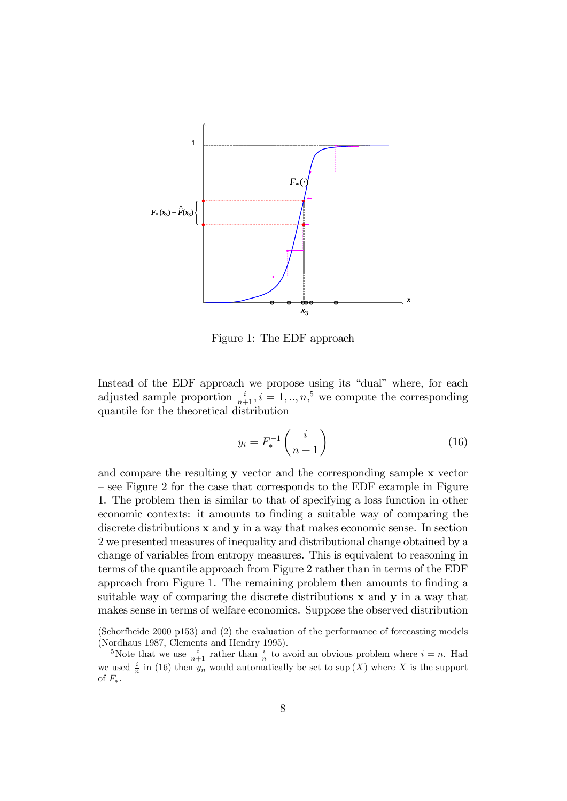

Figure 1: The EDF approach

Instead of the EDF approach we propose using its "dual" where, for each adjusted sample proportion  $\frac{i}{n+1}$ ,  $i = 1, ..., n$ ,<sup>5</sup> we compute the corresponding quantile for the theoretical distribution

$$
y_i = F_*^{-1}\left(\frac{i}{n+1}\right) \tag{16}
$$

and compare the resulting y vector and the corresponding sample x vector  $\sim$  see Figure 2 for the case that corresponds to the EDF example in Figure 1. The problem then is similar to that of specifying a loss function in other economic contexts: it amounts to finding a suitable way of comparing the discrete distributions **x** and **y** in a way that makes economic sense. In section 2 we presented measures of inequality and distributional change obtained by a change of variables from entropy measures. This is equivalent to reasoning in terms of the quantile approach from Figure 2 rather than in terms of the EDF approach from Figure 1. The remaining problem then amounts to finding a suitable way of comparing the discrete distributions x and y in a way that makes sense in terms of welfare economics. Suppose the observed distribution

<sup>(</sup>Schorfheide 2000 p153) and (2) the evaluation of the performance of forecasting models (Nordhaus 1987, Clements and Hendry 1995).

<sup>&</sup>lt;sup>5</sup>Note that we use  $\frac{i}{n+1}$  rather than  $\frac{i}{n}$  to avoid an obvious problem where  $i = n$ . Had we used  $\frac{i}{n}$  in (16) then  $y_n$  would automatically be set to sup  $(X)$  where X is the support of  $F_*$ .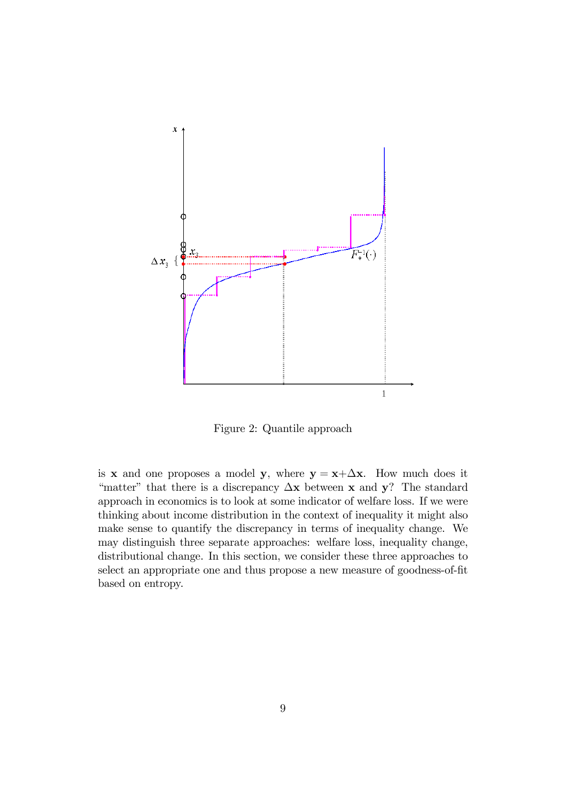

Figure 2: Quantile approach

is **x** and one proposes a model **y**, where  $y = x + \Delta x$ . How much does it "matter" that there is a discrepancy  $\Delta x$  between x and y? The standard approach in economics is to look at some indicator of welfare loss. If we were thinking about income distribution in the context of inequality it might also make sense to quantify the discrepancy in terms of inequality change. We may distinguish three separate approaches: welfare loss, inequality change, distributional change. In this section, we consider these three approaches to select an appropriate one and thus propose a new measure of goodness-of-fit based on entropy.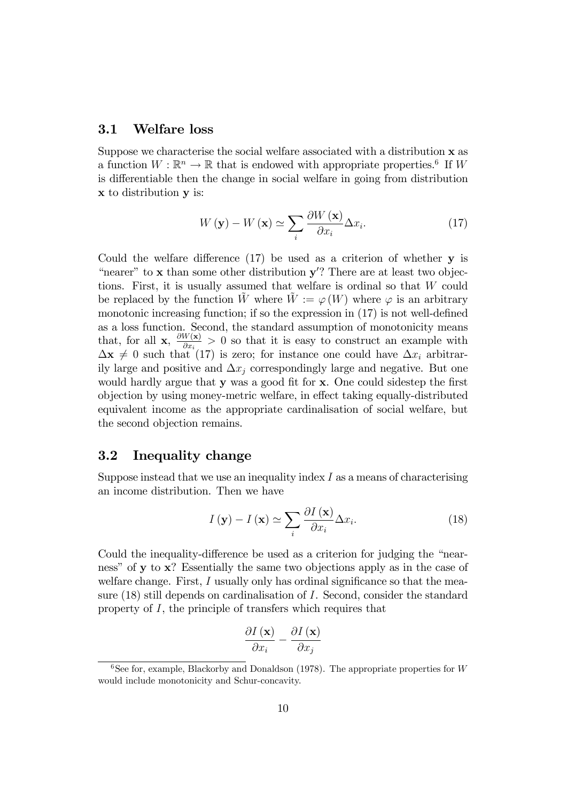#### 3.1 Welfare loss

Suppose we characterise the social welfare associated with a distribution x as a function  $W : \mathbb{R}^n \to \mathbb{R}$  that is endowed with appropriate properties.<sup>6</sup> If W is differentiable then the change in social welfare in going from distribution x to distribution y is:

$$
W\left(\mathbf{y}\right) - W\left(\mathbf{x}\right) \simeq \sum_{i} \frac{\partial W\left(\mathbf{x}\right)}{\partial x_{i}} \Delta x_{i}.
$$
 (17)

Could the welfare difference  $(17)$  be used as a criterion of whether y is "nearer" to  $x$  than some other distribution  $y$ "? There are at least two objections. First, it is usually assumed that welfare is ordinal so that W could be replaced by the function W where  $\hat{W} := \varphi(W)$  where  $\varphi$  is an arbitrary monotonic increasing function; if so the expression in  $(17)$  is not well-defined as a loss function. Second, the standard assumption of monotonicity means that, for all **x**,  $\frac{\partial W(\mathbf{x})}{\partial x}$  $\frac{w(\mathbf{x})}{\partial x_i} > 0$  so that it is easy to construct an example with  $\Delta x \neq 0$  such that (17) is zero; for instance one could have  $\Delta x_i$  arbitrarily large and positive and  $\Delta x_i$  correspondingly large and negative. But one would hardly argue that  $y$  was a good fit for  $x$ . One could sidestep the first objection by using money-metric welfare, in effect taking equally-distributed equivalent income as the appropriate cardinalisation of social welfare, but the second objection remains.

#### 3.2 Inequality change

Suppose instead that we use an inequality index  $I$  as a means of characterising an income distribution. Then we have

$$
I(\mathbf{y}) - I(\mathbf{x}) \simeq \sum_{i} \frac{\partial I(\mathbf{x})}{\partial x_i} \Delta x_i.
$$
 (18)

Could the inequality-difference be used as a criterion for judging the "nearness" of  $\bf{v}$  to  $\bf{x}$ ? Essentially the same two objections apply as in the case of welfare change. First,  $I$  usually only has ordinal significance so that the measure (18) still depends on cardinalisation of I. Second, consider the standard property of I, the principle of transfers which requires that

$$
\frac{\partial I\left(\mathbf{x}\right)}{\partial x_{i}} - \frac{\partial I\left(\mathbf{x}\right)}{\partial x_{j}}
$$

<sup>&</sup>lt;sup>6</sup>See for, example, Blackorby and Donaldson (1978). The appropriate properties for W would include monotonicity and Schur-concavity.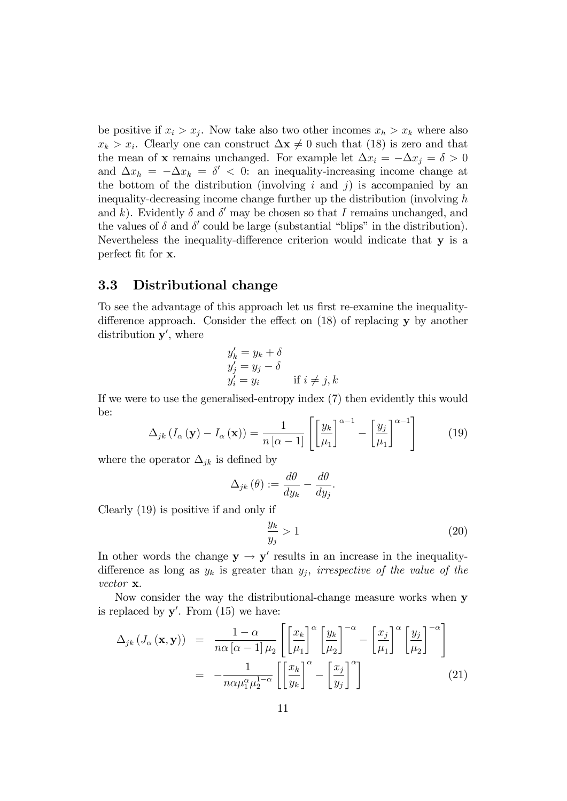be positive if  $x_i > x_j$ . Now take also two other incomes  $x_h > x_k$  where also  $x_k > x_i$ . Clearly one can construct  $\Delta \mathbf{x} \neq 0$  such that (18) is zero and that the mean of **x** remains unchanged. For example let  $\Delta x_i = -\Delta x_i = \delta > 0$ and  $\Delta x_h = -\Delta x_k = \delta' < 0$ : an inequality-increasing income change at the bottom of the distribution (involving i and j) is accompanied by an inequality-decreasing income change further up the distribution (involving h and k). Evidently  $\delta$  and  $\delta'$  may be chosen so that I remains unchanged, and the values of  $\delta$  and  $\delta'$  could be large (substantial "blips" in the distribution). Nevertheless the inequality-difference criterion would indicate that  $y$  is a perfect fit for  $x$ .

#### 3.3 Distributional change

To see the advantage of this approach let us first re-examine the inequalitydifference approach. Consider the effect on  $(18)$  of replacing y by another distribution  $y'$ , where

$$
y'_{k} = y_{k} + \delta
$$
  
\n
$$
y'_{j} = y_{j} - \delta
$$
  
\n
$$
y'_{i} = y_{i} \qquad \text{if } i \neq j, k
$$

If we were to use the generalised-entropy index (7) then evidently this would be:

$$
\Delta_{jk} \left( I_{\alpha} \left( \mathbf{y} \right) - I_{\alpha} \left( \mathbf{x} \right) \right) = \frac{1}{n \left[ \alpha - 1 \right]} \left[ \left[ \frac{y_k}{\mu_1} \right]^{\alpha - 1} - \left[ \frac{y_j}{\mu_1} \right]^{\alpha - 1} \right] \tag{19}
$$

where the operator  $\Delta_{jk}$  is defined by

$$
\Delta_{jk}(\theta) := \frac{d\theta}{dy_k} - \frac{d\theta}{dy_j}.
$$

Clearly (19) is positive if and only if

$$
\frac{y_k}{y_j} > 1\tag{20}
$$

In other words the change  $y \rightarrow y'$  results in an increase in the inequalitydifference as long as  $y_k$  is greater than  $y_j$ , irrespective of the value of the vector x.

Now consider the way the distributional-change measure works when y is replaced by  $y'$ . From  $(15)$  we have:

$$
\Delta_{jk} (J_{\alpha} (\mathbf{x}, \mathbf{y})) = \frac{1 - \alpha}{n \alpha [\alpha - 1] \mu_2} \left[ \left[ \frac{x_k}{\mu_1} \right]^{\alpha} \left[ \frac{y_k}{\mu_2} \right]^{-\alpha} - \left[ \frac{x_j}{\mu_1} \right]^{\alpha} \left[ \frac{y_j}{\mu_2} \right]^{-\alpha} \right]
$$

$$
= -\frac{1}{n \alpha \mu_1^{\alpha} \mu_2^{1 - \alpha}} \left[ \left[ \frac{x_k}{y_k} \right]^{\alpha} - \left[ \frac{x_j}{y_j} \right]^{\alpha} \right]
$$
(21)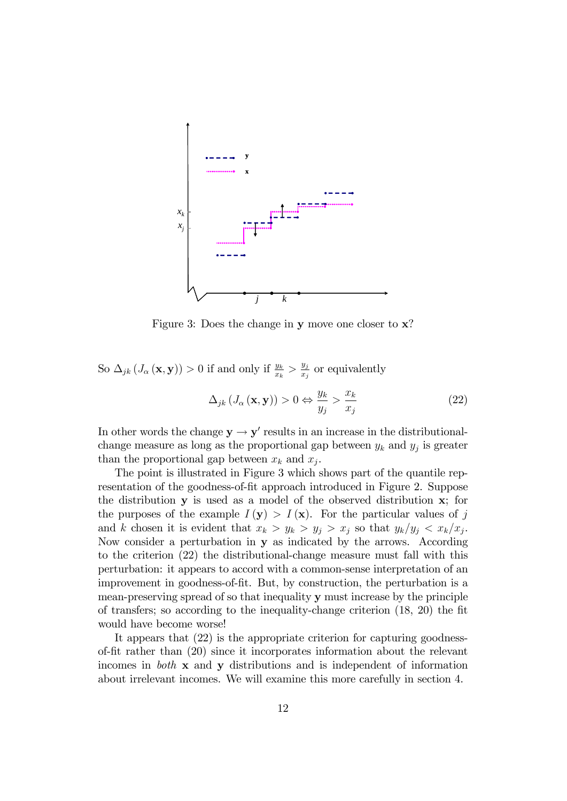

Figure 3: Does the change in y move one closer to  $x$ ?

So  $\Delta_{jk} (J_\alpha (\mathbf{x}, \mathbf{y})) > 0$  if and only if  $\frac{y_k}{x_k} > \frac{y_j}{x_j}$  $\frac{y_j}{x_j}$  or equivalently

$$
\Delta_{jk} \left( J_{\alpha} \left( \mathbf{x}, \mathbf{y} \right) \right) > 0 \Leftrightarrow \frac{y_k}{y_j} > \frac{x_k}{x_j} \tag{22}
$$

In other words the change  $y \rightarrow y'$  results in an increase in the distributionalchange measure as long as the proportional gap between  $y_k$  and  $y_j$  is greater than the proportional gap between  $x_k$  and  $x_j$ .

The point is illustrated in Figure 3 which shows part of the quantile representation of the goodness-of-fit approach introduced in Figure 2. Suppose the distribution y is used as a model of the observed distribution x; for the purposes of the example  $I(\mathbf{y}) > I(\mathbf{x})$ . For the particular values of j and k chosen it is evident that  $x_k > y_k > y_j > x_j$  so that  $y_k/y_j < x_k/x_j$ . Now consider a perturbation in y as indicated by the arrows. According to the criterion (22) the distributional-change measure must fall with this perturbation: it appears to accord with a common-sense interpretation of an improvement in goodness-of-fit. But, by construction, the perturbation is a mean-preserving spread of so that inequality y must increase by the principle of transfers; so according to the inequality-change criterion  $(18, 20)$  the fit would have become worse!

It appears that (22) is the appropriate criterion for capturing goodnessof-Öt rather than (20) since it incorporates information about the relevant incomes in both x and y distributions and is independent of information about irrelevant incomes. We will examine this more carefully in section 4.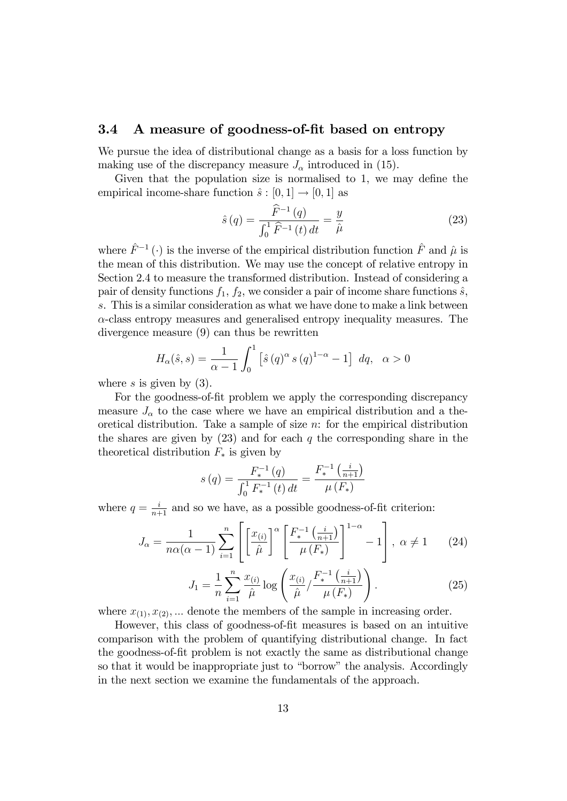#### 3.4 A measure of goodness-of-fit based on entropy

We pursue the idea of distributional change as a basis for a loss function by making use of the discrepancy measure  $J_{\alpha}$  introduced in (15).

Given that the population size is normalised to  $1$ , we may define the empirical income-share function  $\hat{s} : [0, 1] \rightarrow [0, 1]$  as

$$
\hat{s}(q) = \frac{\widehat{F}^{-1}(q)}{\int_0^1 \widehat{F}^{-1}(t) dt} = \frac{y}{\hat{\mu}} \tag{23}
$$

where  $\hat{F}^{-1}(\cdot)$  is the inverse of the empirical distribution function  $\hat{F}$  and  $\hat{\mu}$  is the mean of this distribution. We may use the concept of relative entropy in Section 2.4 to measure the transformed distribution. Instead of considering a pair of density functions  $f_1$ ,  $f_2$ , we consider a pair of income share functions  $\hat{s}$ , s. This is a similar consideration as what we have done to make a link between  $\alpha$ -class entropy measures and generalised entropy inequality measures. The divergence measure (9) can thus be rewritten

$$
H_{\alpha}(\hat{s}, s) = \frac{1}{\alpha - 1} \int_0^1 [\hat{s}(q)^{\alpha} s(q)^{1 - \alpha} - 1] dq, \alpha > 0
$$

where s is given by  $(3)$ .

For the goodness-of-fit problem we apply the corresponding discrepancy measure  $J_{\alpha}$  to the case where we have an empirical distribution and a theoretical distribution. Take a sample of size  $n$ : for the empirical distribution the shares are given by  $(23)$  and for each q the corresponding share in the theoretical distribution  $F_*$  is given by

$$
s(q) = \frac{F_*^{-1}(q)}{\int_0^1 F_*^{-1}(t) dt} = \frac{F_*^{-1}(\frac{i}{n+1})}{\mu(F_*)}
$$

where  $q = \frac{i}{n+1}$  and so we have, as a possible goodness-of-fit criterion:

$$
J_{\alpha} = \frac{1}{n\alpha(\alpha - 1)} \sum_{i=1}^{n} \left[ \left[ \frac{x_{(i)}}{\hat{\mu}} \right]^{\alpha} \left[ \frac{F_{*}^{-1}\left(\frac{i}{n+1}\right)}{\mu\left(F_{*}\right)} \right]^{1-\alpha} - 1 \right], \ \alpha \neq 1 \qquad (24)
$$

$$
J_1 = \frac{1}{n} \sum_{i=1}^{n} \frac{x_{(i)}}{\hat{\mu}} \log \left( \frac{x_{(i)}}{\hat{\mu}} / \frac{F_*^{-1}\left(\frac{i}{n+1}\right)}{\mu\left(F_*\right)} \right). \tag{25}
$$

where  $x_{(1)}, x_{(2)}, \ldots$  denote the members of the sample in increasing order.

However, this class of goodness-of-fit measures is based on an intuitive comparison with the problem of quantifying distributional change. In fact the goodness-of-Öt problem is not exactly the same as distributional change so that it would be inappropriate just to "borrow" the analysis. Accordingly in the next section we examine the fundamentals of the approach.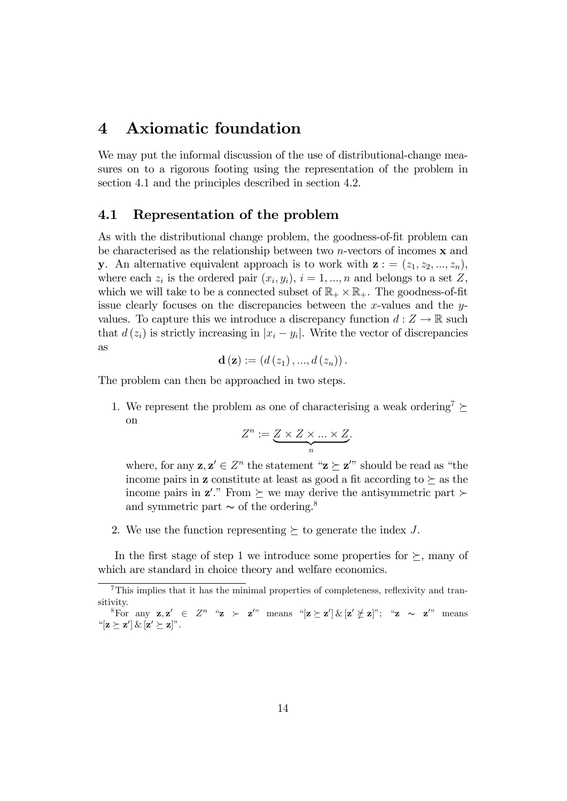## 4 Axiomatic foundation

We may put the informal discussion of the use of distributional-change measures on to a rigorous footing using the representation of the problem in section 4.1 and the principles described in section 4.2.

#### 4.1 Representation of the problem

As with the distributional change problem, the goodness-of-fit problem can be characterised as the relationship between two *n*-vectors of incomes  $\bf{x}$  and y. An alternative equivalent approach is to work with  $z = (z_1, z_2, ..., z_n)$ , where each  $z_i$  is the ordered pair  $(x_i, y_i)$ ,  $i = 1, ..., n$  and belongs to a set Z, which we will take to be a connected subset of  $\mathbb{R}_+ \times \mathbb{R}_+$ . The goodness-of-fit issue clearly focuses on the discrepancies between the x-values and the  $y$ values. To capture this we introduce a discrepancy function  $d: Z \to \mathbb{R}$  such that  $d(z_i)$  is strictly increasing in  $|x_i - y_i|$ . Write the vector of discrepancies as

$$
\mathbf{d}\left(\mathbf{z}\right) := \left(d\left(z_1\right),...,d\left(z_n\right)\right).
$$

The problem can then be approached in two steps.

1. We represent the problem as one of characterising a weak ordering<sup>7</sup>  $\succeq$ on

$$
Z^n := \underbrace{Z \times Z \times \ldots \times Z}_{n}.
$$

where, for any  $z, z' \in \mathbb{Z}^n$  the statement " $z \geq z''$ " should be read as "the income pairs in **z** constitute at least as good a fit according to  $\succeq$  as the income pairs in  $z'$ ." From  $\succeq$  we may derive the antisymmetric part  $\succ$ and symmetric part  $\sim$  of the ordering.<sup>8</sup>

2. We use the function representing  $\succeq$  to generate the index J.

In the first stage of step 1 we introduce some properties for  $\succeq$ , many of which are standard in choice theory and welfare economics.

<sup>&</sup>lt;sup>7</sup>This implies that it has the minimal properties of completeness, reflexivity and transitivity.

<sup>&</sup>lt;sup>8</sup>For any  $z, z' \in Z^n$  " $z \succ z'$ " means " $[z \succeq z'] \& [z' \not\subset z]$ "; " $z \sim z'$ " means " $[\mathbf{z} \succeq \mathbf{z}'] \& [\mathbf{z}' \succeq \mathbf{z}]$ ".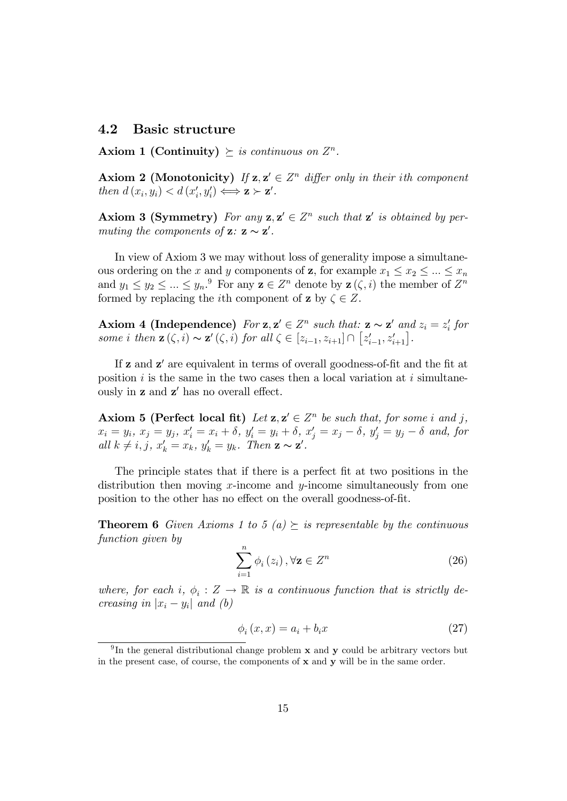#### 4.2 Basic structure

Axiom 1 (Continuity)  $\succeq$  is continuous on  $Z^n$ .

**Axiom 2** (Monotonicity) If  $z, z' \in \mathbb{Z}^n$  differ only in their ith component then  $d(x_i, y_i) < d(x'_i, y'_i) \Longleftrightarrow z \succ z'.$ 

Axiom 3 (Symmetry) For any  $z, z' \in \mathbb{Z}^n$  such that  $z'$  is obtained by permuting the components of  $z: z \sim z'$ .

In view of Axiom 3 we may without loss of generality impose a simultaneous ordering on the x and y components of **z**, for example  $x_1 \le x_2 \le ... \le x_n$ and  $y_1 \le y_2 \le ... \le y_n$ .<sup>9</sup> For any  $\mathbf{z} \in Z^n$  denote by  $\mathbf{z}(\zeta, i)$  the member of  $Z^n$ formed by replacing the *i*th component of **z** by  $\zeta \in Z$ .

Axiom 4 (Independence) For  $z, z' \in \mathbb{Z}^n$  such that:  $z \sim z'$  and  $z_i = z'_i$  for some i then  $\mathbf{z}(\zeta, i) \sim \mathbf{z}'(\zeta, i)$  for all  $\zeta \in [z_{i-1}, z_{i+1}] \cap [z'_{i-1}, z'_{i+1}]$ .

If **z** and **z'** are equivalent in terms of overall goodness-of-fit and the fit at position  $i$  is the same in the two cases then a local variation at  $i$  simultaneously in  $z$  and  $z'$  has no overall effect.

Axiom 5 (Perfect local fit) Let  $z, z' \in \mathbb{Z}^n$  be such that, for some i and j,  $x_i = y_i, x_j = y_j, x'_i = x_i + \delta, y'_i = y_i + \delta, x'_j = x_j - \delta, y'_j = y_j - \delta \text{ and, for}$ all  $k \neq i, j, x'_{k} = x_{k}, y'_{k} = y_{k}.$  Then  $\mathbf{z} \sim \mathbf{z}'$ .

The principle states that if there is a perfect fit at two positions in the distribution then moving  $x$ -income and  $y$ -income simultaneously from one position to the other has no effect on the overall goodness-of-fit.

**Theorem 6** Given Axioms 1 to 5 (a)  $\succeq$  is representable by the continuous function given by

$$
\sum_{i=1}^{n} \phi_i(z_i), \forall \mathbf{z} \in Z^n
$$
\n(26)

where, for each i,  $\phi_i : Z \to \mathbb{R}$  is a continuous function that is strictly decreasing in  $|x_i - y_i|$  and (b)

$$
\phi_i(x, x) = a_i + b_i x \tag{27}
$$

<sup>&</sup>lt;sup>9</sup>In the general distributional change problem  $x$  and  $y$  could be arbitrary vectors but in the present case, of course, the components of  $x$  and  $y$  will be in the same order.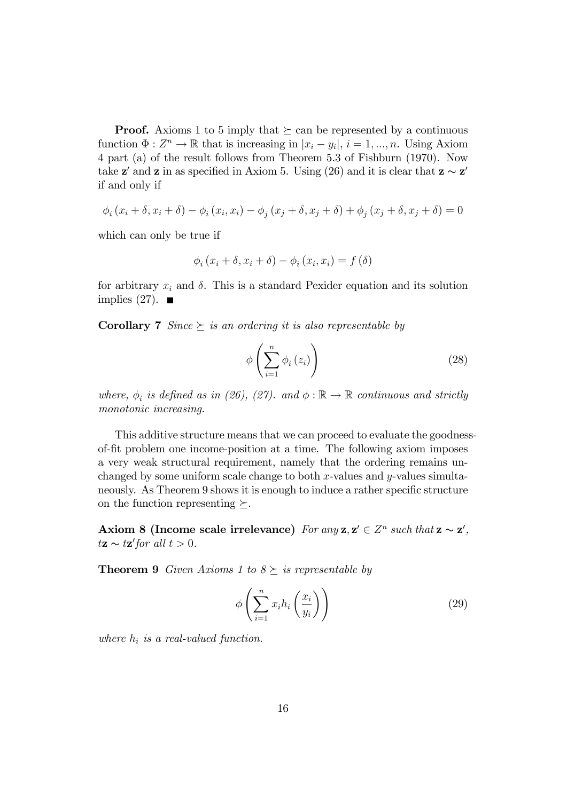**Proof.** Axioms 1 to 5 imply that  $\succeq$  can be represented by a continuous function  $\Phi: Z^n \to \mathbb{R}$  that is increasing in  $|x_i - y_i|, i = 1, ..., n$ . Using Axiom 4 part (a) of the result follows from Theorem 5.3 of Fishburn (1970). Now take  $z'$  and z in as specified in Axiom 5. Using (26) and it is clear that  $z \sim z'$ if and only if

$$
\phi_i (x_i + \delta, x_i + \delta) - \phi_i (x_i, x_i) - \phi_j (x_j + \delta, x_j + \delta) + \phi_j (x_j + \delta, x_j + \delta) = 0
$$

which can only be true if

$$
\phi_i(x_i + \delta, x_i + \delta) - \phi_i(x_i, x_i) = f(\delta)
$$

for arbitrary  $x_i$  and  $\delta$ . This is a standard Pexider equation and its solution implies  $(27)$ .

**Corollary 7** Since  $\succeq$  is an ordering it is also representable by

$$
\phi\left(\sum_{i=1}^{n} \phi_i\left(z_i\right)\right) \tag{28}
$$

where,  $\phi_i$  is defined as in (26), (27). and  $\phi : \mathbb{R} \to \mathbb{R}$  continuous and strictly monotonic increasing.

This additive structure means that we can proceed to evaluate the goodnessof-Öt problem one income-position at a time. The following axiom imposes a very weak structural requirement, namely that the ordering remains unchanged by some uniform scale change to both  $x$ -values and  $y$ -values simultaneously. As Theorem 9 shows it is enough to induce a rather specific structure on the function representing  $\succeq$ .

Axiom 8 (Income scale irrelevance) For any  $z, z' \in Z^n$  such that  $z \sim z'$ ,  $t\mathbf{z} \sim t\mathbf{z}'$  for all  $t > 0$ .

**Theorem 9** Given Axioms 1 to  $8 \succeq$  is representable by

$$
\phi\left(\sum_{i=1}^{n} x_i h_i\left(\frac{x_i}{y_i}\right)\right) \tag{29}
$$

where  $h_i$  is a real-valued function.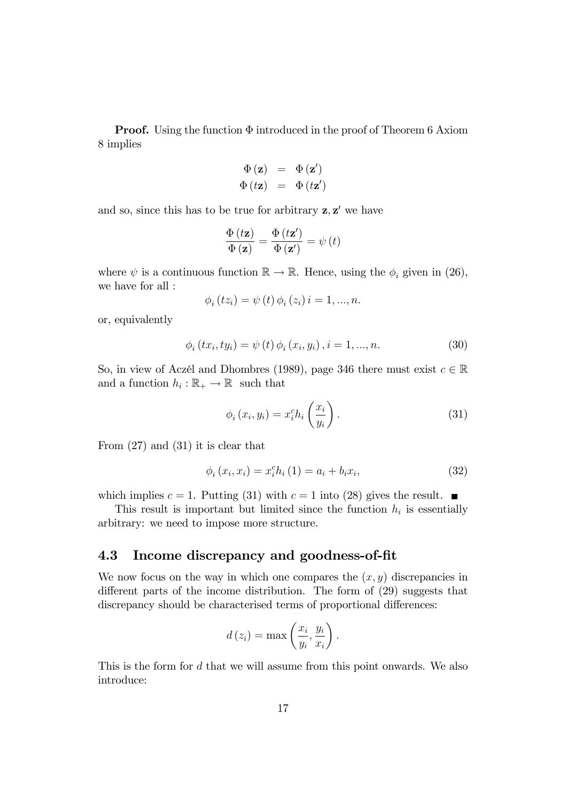**Proof.** Using the function  $\Phi$  introduced in the proof of Theorem 6 Axiom 8 implies

$$
\begin{array}{rcl} \Phi\left(\mathbf{z}\right) & = & \Phi\left(\mathbf{z}'\right) \\ \Phi\left(t\mathbf{z}\right) & = & \Phi\left(t\mathbf{z}'\right) \end{array}
$$

and so, since this has to be true for arbitrary  $z, z'$  we have

$$
\frac{\Phi\left(t\mathbf{z}\right)}{\Phi\left(\mathbf{z}\right)} = \frac{\Phi\left(t\mathbf{z}'\right)}{\Phi\left(\mathbf{z}'\right)} = \psi\left(t\right)
$$

where  $\psi$  is a continuous function  $\mathbb{R} \to \mathbb{R}$ . Hence, using the  $\phi_i$  given in (26), we have for all :

$$
\phi_i(tz_i) = \psi(t)\phi_i(z_i) i = 1, ..., n.
$$

or, equivalently

$$
\phi_{i}(tx_{i}, ty_{i}) = \psi(t) \phi_{i}(x_{i}, y_{i}), i = 1, ..., n.
$$
\n(30)

So, in view of Aczél and Dhombres (1989), page 346 there must exist  $c \in \mathbb{R}$ and a function  $h_i : \mathbb{R}_+ \to \mathbb{R}$  such that

$$
\phi_i(x_i, y_i) = x_i^c h_i\left(\frac{x_i}{y_i}\right). \tag{31}
$$

From (27) and (31) it is clear that

$$
\phi_i(x_i, x_i) = x_i^c h_i(1) = a_i + b_i x_i,
$$
\n(32)

which implies  $c = 1$ . Putting (31) with  $c = 1$  into (28) gives the result.

This result is important but limited since the function  $h_i$  is essentially arbitrary: we need to impose more structure.

#### 4.3 Income discrepancy and goodness-of-Öt

We now focus on the way in which one compares the  $(x, y)$  discrepancies in different parts of the income distribution. The form of  $(29)$  suggests that discrepancy should be characterised terms of proportional differences:

$$
d(z_i) = \max\left(\frac{x_i}{y_i}, \frac{y_i}{x_i}\right).
$$

This is the form for d that we will assume from this point onwards. We also introduce: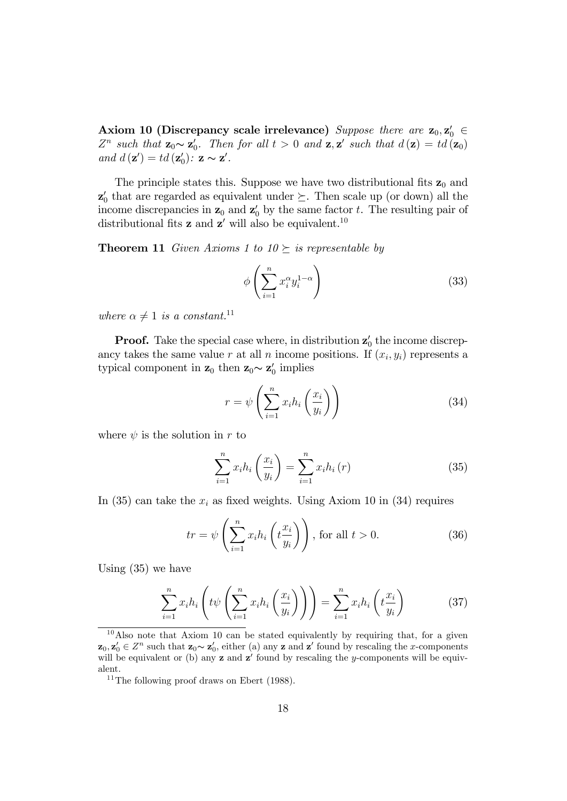Axiom 10 (Discrepancy scale irrelevance) Suppose there are  $\mathbf{z}_0, \mathbf{z}'_0 \in \mathbb{R}$  $Z^n$  such that  $\mathbf{z}_0 \sim \mathbf{z}'_0$ . Then for all  $t > 0$  and  $\mathbf{z}, \mathbf{z}'$  such that  $d(\mathbf{z}) = td(\mathbf{z}_0)$ and  $d(\mathbf{z}') = td(\mathbf{z}'_0)$ :  $\mathbf{z} \sim \mathbf{z}'$ .

The principle states this. Suppose we have two distributional fits  $z_0$  and  $\mathbf{z}'_0$  that are regarded as equivalent under  $\succeq$ . Then scale up (or down) all the income discrepancies in  $z_0$  and  $z'_0$  by the same factor t. The resulting pair of distributional fits **z** and **z'** will also be equivalent.<sup>10</sup>

**Theorem 11** Given Axioms 1 to  $10 \succeq$  is representable by

$$
\phi\left(\sum_{i=1}^{n} x_i^{\alpha} y_i^{1-\alpha}\right) \tag{33}
$$

where  $\alpha \neq 1$  is a constant.<sup>11</sup>

**Proof.** Take the special case where, in distribution  $z'_0$  the income discrepancy takes the same value r at all n income positions. If  $(x_i, y_i)$  represents a typical component in  $z_0$  then  $z_0 \sim z'_0$  implies

$$
r = \psi\left(\sum_{i=1}^{n} x_i h_i\left(\frac{x_i}{y_i}\right)\right) \tag{34}
$$

where  $\psi$  is the solution in r to

$$
\sum_{i=1}^{n} x_i h_i \left(\frac{x_i}{y_i}\right) = \sum_{i=1}^{n} x_i h_i \left(r\right) \tag{35}
$$

In (35) can take the  $x_i$  as fixed weights. Using Axiom 10 in (34) requires

$$
tr = \psi \left( \sum_{i=1}^{n} x_i h_i \left( t \frac{x_i}{y_i} \right) \right), \text{ for all } t > 0.
$$
 (36)

Using (35) we have

$$
\sum_{i=1}^{n} x_i h_i \left( t \psi \left( \sum_{i=1}^{n} x_i h_i \left( \frac{x_i}{y_i} \right) \right) \right) = \sum_{i=1}^{n} x_i h_i \left( t \frac{x_i}{y_i} \right) \tag{37}
$$

<sup>10</sup>Also note that Axiom 10 can be stated equivalently by requiring that, for a given  $\mathbf{z}_0, \mathbf{z}'_0 \in \mathbb{Z}^n$  such that  $\mathbf{z}_0 \sim \mathbf{z}'_0$ , either (a) any  $\mathbf{z}$  and  $\mathbf{z}'$  found by rescaling the x-components will be equivalent or (b) any  $z$  and  $z'$  found by rescaling the y-components will be equivalent.

 $11$ The following proof draws on Ebert (1988).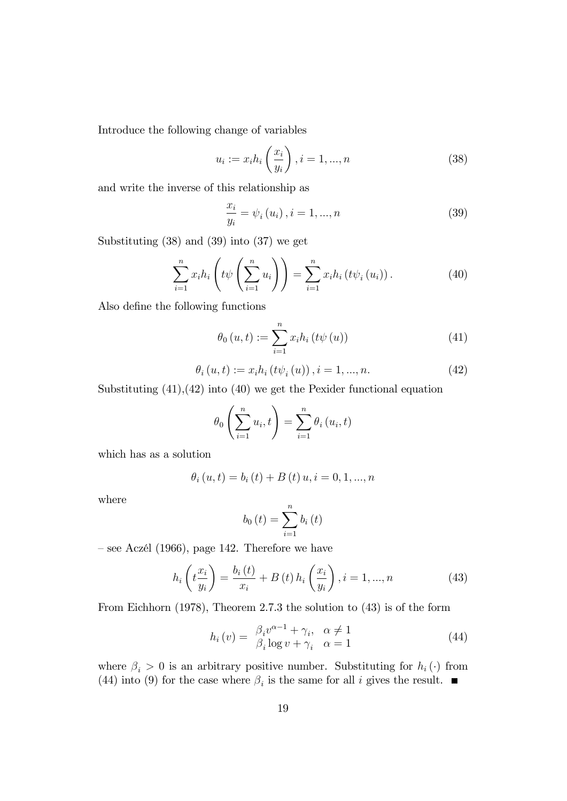Introduce the following change of variables

$$
u_i := x_i h_i \left(\frac{x_i}{y_i}\right), i = 1, ..., n
$$
 (38)

and write the inverse of this relationship as

$$
\frac{x_i}{y_i} = \psi_i(u_i), i = 1, ..., n
$$
\n(39)

Substituting (38) and (39) into (37) we get

$$
\sum_{i=1}^{n} x_i h_i \left( t \psi \left( \sum_{i=1}^{n} u_i \right) \right) = \sum_{i=1}^{n} x_i h_i \left( t \psi_i \left( u_i \right) \right). \tag{40}
$$

Also define the following functions

$$
\theta_0(u, t) := \sum_{i=1}^n x_i h_i(t\psi(u))
$$
\n(41)

$$
\theta_{i}(u,t) := x_{i}h_{i}(t\psi_{i}(u)), i = 1,...,n.
$$
\n(42)

Substituting  $(41),(42)$  into  $(40)$  we get the Pexider functional equation

$$
\theta_0\left(\sum_{i=1}^n u_i, t\right) = \sum_{i=1}^n \theta_i\left(u_i, t\right)
$$

which has as a solution

$$
\theta_i(u, t) = b_i(t) + B(t) u, i = 0, 1, ..., n
$$

where

$$
b_0(t) = \sum_{i=1}^{n} b_i(t)
$$

 $\sim$  see Aczél (1966), page 142. Therefore we have

$$
h_i\left(t\frac{x_i}{y_i}\right) = \frac{b_i\left(t\right)}{x_i} + B\left(t\right)h_i\left(\frac{x_i}{y_i}\right), i = 1, ..., n
$$
\n(43)

From Eichhorn (1978), Theorem 2.7.3 the solution to (43) is of the form

$$
h_i(v) = \frac{\beta_i v^{\alpha - 1} + \gamma_i, \quad \alpha \neq 1}{\beta_i \log v + \gamma_i, \quad \alpha = 1}
$$
\n(44)

where  $\beta_i > 0$  is an arbitrary positive number. Substituting for  $h_i(\cdot)$  from (44) into (9) for the case where  $\beta_i$  is the same for all i gives the result.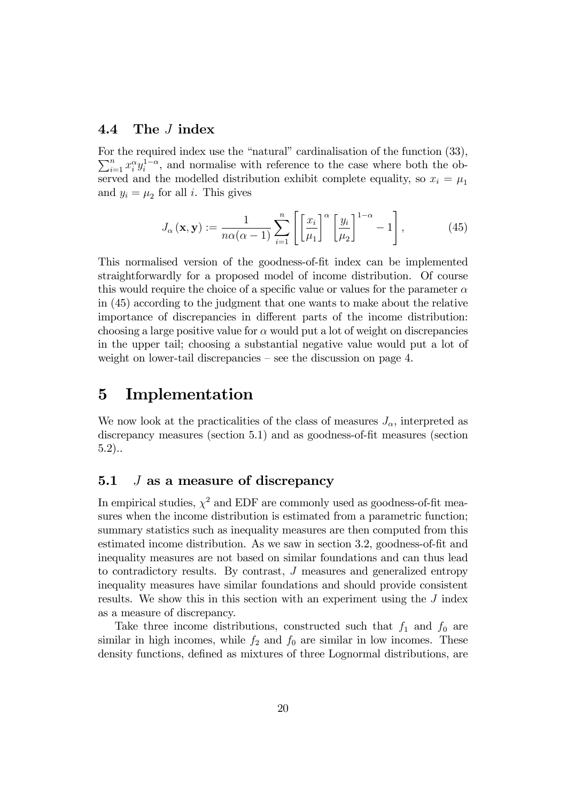#### 4.4 The J index

For the required index use the "natural" cardinalisation of the function  $(33)$ ,  $\sum_{i=1}^{n} x_i^{\alpha} y_i^{1-\alpha}$ , and normalise with reference to the case where both the observed and the modelled distribution exhibit complete equality, so  $x_i = \mu_1$ and  $y_i = \mu_2$  for all *i*. This gives

$$
J_{\alpha}\left(\mathbf{x}, \mathbf{y}\right) := \frac{1}{n\alpha(\alpha - 1)} \sum_{i=1}^{n} \left[ \left[ \frac{x_i}{\mu_1} \right]^{\alpha} \left[ \frac{y_i}{\mu_2} \right]^{1-\alpha} - 1 \right],\tag{45}
$$

This normalised version of the goodness-of-fit index can be implemented straightforwardly for a proposed model of income distribution. Of course this would require the choice of a specific value or values for the parameter  $\alpha$ in (45) according to the judgment that one wants to make about the relative importance of discrepancies in different parts of the income distribution: choosing a large positive value for  $\alpha$  would put a lot of weight on discrepancies in the upper tail; choosing a substantial negative value would put a lot of weight on lower-tail discrepancies  $-$  see the discussion on page 4.

## 5 Implementation

We now look at the practicalities of the class of measures  $J_{\alpha}$ , interpreted as discrepancy measures (section 5.1) and as goodness-of-fit measures (section 5.2)..

#### 5.1  $J$  as a measure of discrepancy

In empirical studies,  $\chi^2$  and EDF are commonly used as goodness-of-fit measures when the income distribution is estimated from a parametric function; summary statistics such as inequality measures are then computed from this estimated income distribution. As we saw in section 3.2, goodness-of-fit and inequality measures are not based on similar foundations and can thus lead to contradictory results. By contrast, J measures and generalized entropy inequality measures have similar foundations and should provide consistent results. We show this in this section with an experiment using the J index as a measure of discrepancy.

Take three income distributions, constructed such that  $f_1$  and  $f_0$  are similar in high incomes, while  $f_2$  and  $f_0$  are similar in low incomes. These density functions, defined as mixtures of three Lognormal distributions, are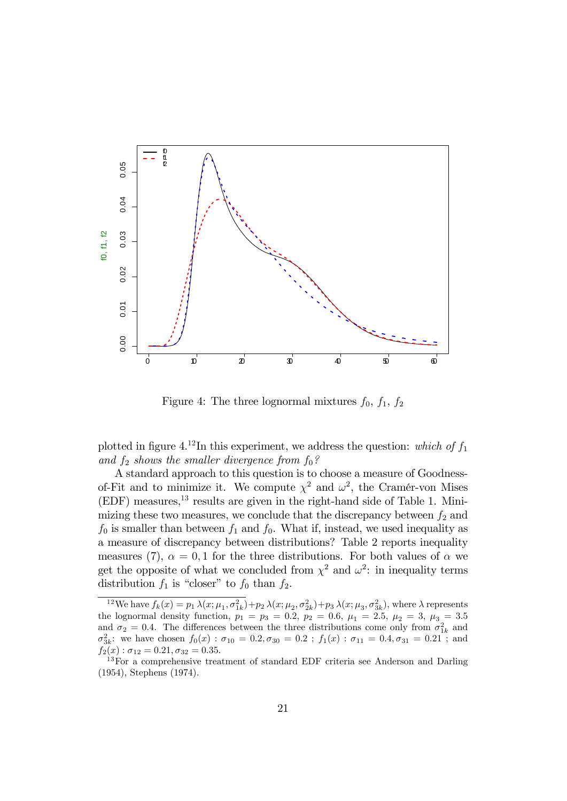

Figure 4: The three lognormal mixtures  $f_0$ ,  $f_1$ ,  $f_2$ 

plotted in figure 4.<sup>12</sup>In this experiment, we address the question: which of  $f_1$ and  $f_2$  shows the smaller divergence from  $f_0$ ?

A standard approach to this question is to choose a measure of Goodnessof-Fit and to minimize it. We compute  $\chi^2$  and  $\omega^2$ , the Cramér-von Mises  $(EDF)$  measures,<sup>13</sup> results are given in the right-hand side of Table 1. Minimizing these two measures, we conclude that the discrepancy between  $f_2$  and  $f_0$  is smaller than between  $f_1$  and  $f_0$ . What if, instead, we used inequality as a measure of discrepancy between distributions? Table 2 reports inequality measures (7),  $\alpha = 0, 1$  for the three distributions. For both values of  $\alpha$  we get the opposite of what we concluded from  $\chi^2$  and  $\omega^2$ : in inequality terms distribution  $f_1$  is "closer" to  $f_0$  than  $f_2$ .

<sup>&</sup>lt;sup>12</sup>We have  $f_k(x) = p_1 \lambda(x; \mu_1, \sigma_{1k}^2) + p_2 \lambda(x; \mu_2, \sigma_{2k}^2) + p_3 \lambda(x; \mu_3, \sigma_{3k}^2)$ , where  $\lambda$  represents the lognormal density function,  $p_1 = p_3 = 0.2$ ,  $p_2 = 0.6$ ,  $\mu_1 = 2.5$ ,  $\mu_2 = 3$ ,  $\mu_3 = 3.5$ and  $\sigma_2 = 0.4$ . The differences between the three distributions come only from  $\sigma_{1k}^2$  and  $\sigma_{3k}^2$ : we have chosen  $f_0(x)$ :  $\sigma_{10} = 0.2, \sigma_{30} = 0.2$ ;  $f_1(x)$ :  $\sigma_{11} = 0.4, \sigma_{31} = 0.21$ ; and  $f_2(x)$ :  $\sigma_{12} = 0.21, \sigma_{32} = 0.35.$ 

<sup>&</sup>lt;sup>13</sup>For a comprehensive treatment of standard EDF criteria see Anderson and Darling (1954), Stephens (1974).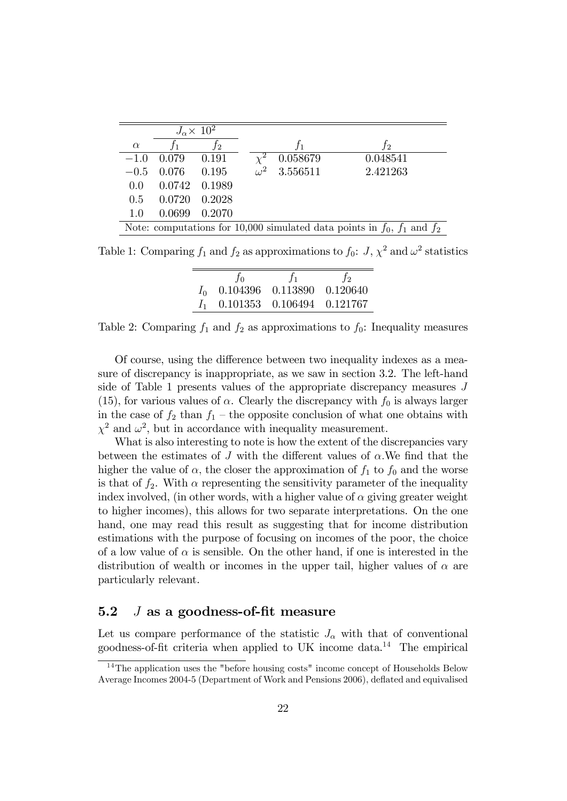| $J_{\alpha} \times 10^2$                                                       |        |        |            |          |          |
|--------------------------------------------------------------------------------|--------|--------|------------|----------|----------|
| $\alpha$                                                                       |        | 12     |            | $f_1$    | $f_2\$   |
| $-1.0$                                                                         | 0.079  | 0.191  | $\gamma^2$ | 0.058679 | 0.048541 |
| $-0.5$                                                                         | 0.076  | 0.195  | $\omega^2$ | 3.556511 | 2.421263 |
| 0.0                                                                            | 0.0742 | 0.1989 |            |          |          |
| $0.5^{\circ}$                                                                  | 0.0720 | 0.2028 |            |          |          |
| 1.0                                                                            | 0.0699 | 0.2070 |            |          |          |
| Note: computations for 10,000 simulated data points in $f_0$ , $f_1$ and $f_2$ |        |        |            |          |          |

Table 1: Comparing  $f_1$  and  $f_2$  as approximations to  $f_0$ :  $J, \chi^2$  and  $\omega^2$  statistics

| $f_{\Omega}$                     | t <sub>1</sub> |  |
|----------------------------------|----------------|--|
| $I_0$ 0.104396 0.113890 0.120640 |                |  |
| $I_1$ 0.101353 0.106494 0.121767 |                |  |

Table 2: Comparing  $f_1$  and  $f_2$  as approximations to  $f_0$ : Inequality measures

Of course, using the difference between two inequality indexes as a measure of discrepancy is inappropriate, as we saw in section 3.2. The left-hand side of Table 1 presents values of the appropriate discrepancy measures J (15), for various values of  $\alpha$ . Clearly the discrepancy with  $f_0$  is always larger in the case of  $f_2$  than  $f_1$  – the opposite conclusion of what one obtains with  $\chi^2$  and  $\omega^2$ , but in accordance with inequality measurement.

What is also interesting to note is how the extent of the discrepancies vary between the estimates of  $J$  with the different values of  $\alpha$ . We find that the higher the value of  $\alpha$ , the closer the approximation of  $f_1$  to  $f_0$  and the worse is that of  $f_2$ . With  $\alpha$  representing the sensitivity parameter of the inequality index involved, (in other words, with a higher value of  $\alpha$  giving greater weight to higher incomes), this allows for two separate interpretations. On the one hand, one may read this result as suggesting that for income distribution estimations with the purpose of focusing on incomes of the poor, the choice of a low value of  $\alpha$  is sensible. On the other hand, if one is interested in the distribution of wealth or incomes in the upper tail, higher values of  $\alpha$  are particularly relevant.

#### 5.2  $J$  as a goodness-of-fit measure

Let us compare performance of the statistic  $J_{\alpha}$  with that of conventional goodness-of-fit criteria when applied to UK income data.<sup>14</sup> The empirical

<sup>&</sup>lt;sup>14</sup>The application uses the "before housing costs" income concept of Households Below Average Incomes 2004-5 (Department of Work and Pensions 2006), deflated and equivalised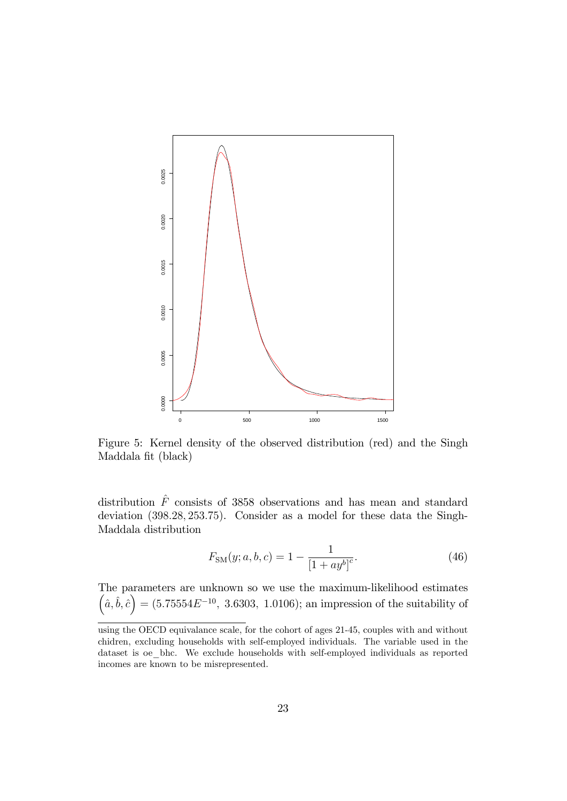

Figure 5: Kernel density of the observed distribution (red) and the Singh Maddala fit (black)

distribution  $\hat{F}$  consists of 3858 observations and has mean and standard deviation (398.28, 253.75). Consider as a model for these data the Singh-Maddala distribution

$$
F_{\rm SM}(y;a,b,c) = 1 - \frac{1}{[1 + ay^b]^c}.
$$
\n(46)

The parameters are unknown so we use the maximum-likelihood estimates  $(a, \hat{b}, \hat{c}) = (5.75554E^{-10}, 3.6303, 1.0106)$ ; an impression of the suitability of

using the OECD equivalance scale, for the cohort of ages 21-45, couples with and without chidren, excluding households with self-employed individuals. The variable used in the dataset is oe\_bhc. We exclude households with self-employed individuals as reported incomes are known to be misrepresented.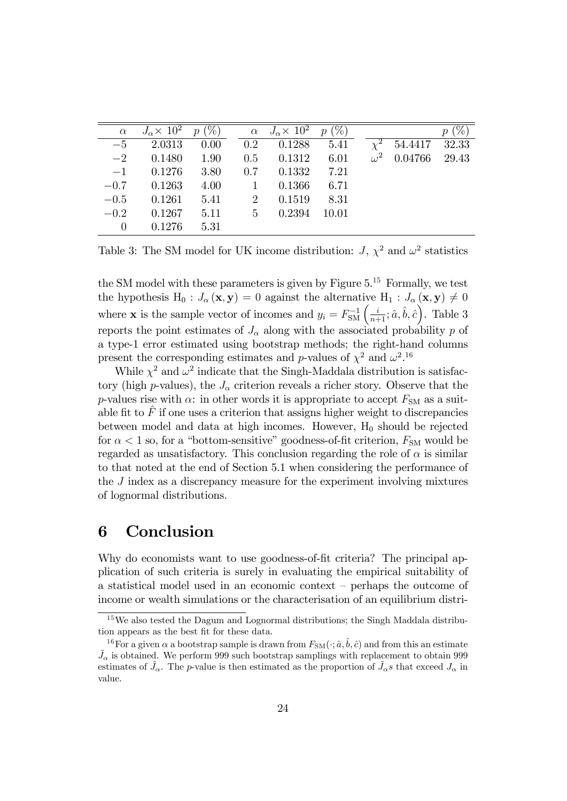| $\alpha$ | $J_{\alpha} \times 10^2$ | $p(\%)$ |                | $\alpha$ $J_{\alpha} \times 10^2$ | $(\%)$<br>$\mathcal{p}$ |            |         | %     |
|----------|--------------------------|---------|----------------|-----------------------------------|-------------------------|------------|---------|-------|
| $-5$     | 2.0313                   | 0.00    | $0.2\,$        | 0.1288                            | 5.41                    | $\chi^2$   | 54.4417 | 32.33 |
| $-2$     | 0.1480                   | 1.90    | 0.5            | 0.1312                            | 6.01                    | $\omega^2$ | 0.04766 | 29.43 |
| $-1$     | 0.1276                   | 3.80    | 0.7            | 0.1332                            | 7.21                    |            |         |       |
| $-0.7$   | 0.1263                   | 4.00    | $\overline{1}$ | 0.1366                            | 6.71                    |            |         |       |
| $-0.5$   | 0.1261                   | 5.41    | $\overline{2}$ | 0.1519                            | 8.31                    |            |         |       |
| $-0.2$   | 0.1267                   | 5.11    | $-5$           | 0.2394                            | 10.01                   |            |         |       |
| $\theta$ | 0.1276                   | 5.31    |                |                                   |                         |            |         |       |

Table 3: The SM model for UK income distribution:  $J, \chi^2$  and  $\omega^2$  statistics

the SM model with these parameters is given by Figure  $5^{15}$  Formally, we test the hypothesis H<sub>0</sub> :  $J_{\alpha}(\mathbf{x}, \mathbf{y}) = 0$  against the alternative H<sub>1</sub> :  $J_{\alpha}(\mathbf{x}, \mathbf{y}) \neq 0$ where **x** is the sample vector of incomes and  $y_i = F_{\text{SM}}^{-1}\left(\frac{i}{n+1}; \hat{a}, \hat{b}, \hat{c}\right)$ . Table 3 reports the point estimates of  $J_{\alpha}$  along with the associated probability p of a type-1 error estimated using bootstrap methods; the right-hand columns present the corresponding estimates and p-values of  $\chi^2$  and  $\omega^2$ .<sup>16</sup>

While  $\chi^2$  and  $\omega^2$  indicate that the Singh-Maddala distribution is satisfactory (high p-values), the  $J_{\alpha}$  criterion reveals a richer story. Observe that the p-values rise with  $\alpha$ : in other words it is appropriate to accept  $F_{SM}$  as a suitable fit to  $\hat{F}$  if one uses a criterion that assigns higher weight to discrepancies between model and data at high incomes. However,  $H_0$  should be rejected for  $\alpha < 1$  so, for a "bottom-sensitive" goodness-of-fit criterion,  $F_{SM}$  would be regarded as unsatisfactory. This conclusion regarding the role of  $\alpha$  is similar to that noted at the end of Section 5.1 when considering the performance of the J index as a discrepancy measure for the experiment involving mixtures of lognormal distributions.

## 6 Conclusion

Why do economists want to use goodness-of-fit criteria? The principal application of such criteria is surely in evaluating the empirical suitability of a statistical model used in an economic context  $-$  perhaps the outcome of income or wealth simulations or the characterisation of an equilibrium distri-

<sup>15</sup>We also tested the Dagum and Lognormal distributions; the Singh Maddala distribution appears as the best fit for these data.

<sup>&</sup>lt;sup>16</sup>For a given  $\alpha$  a bootstrap sample is drawn from  $F_{\text{SM}}(\cdot; \hat{a}, \hat{b}, \hat{c})$  and from this an estimate  $\tilde{J}_{\alpha}$  is obtained. We perform 999 such bootstrap samplings with replacement to obtain 999 estimates of  $\tilde{J}_{\alpha}$ . The p-value is then estimated as the proportion of  $\tilde{J}_{\alpha}s$  that exceed  $J_{\alpha}$  in value.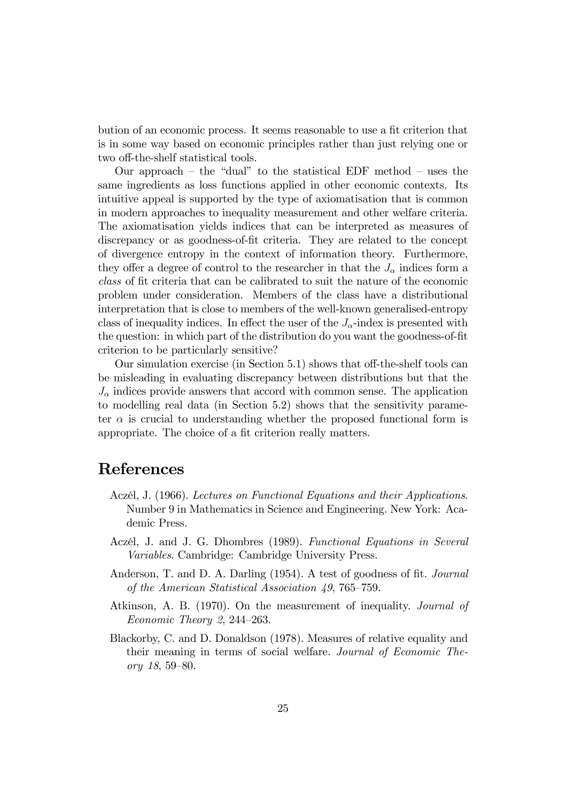bution of an economic process. It seems reasonable to use a fit criterion that is in some way based on economic principles rather than just relying one or two off-the-shelf statistical tools.

Our approach  $-$  the "dual" to the statistical EDF method  $-$  uses the same ingredients as loss functions applied in other economic contexts. Its intuitive appeal is supported by the type of axiomatisation that is common in modern approaches to inequality measurement and other welfare criteria. The axiomatisation yields indices that can be interpreted as measures of discrepancy or as goodness-of-fit criteria. They are related to the concept of divergence entropy in the context of information theory. Furthermore, they offer a degree of control to the researcher in that the  $J_{\alpha}$  indices form a class of Öt criteria that can be calibrated to suit the nature of the economic problem under consideration. Members of the class have a distributional interpretation that is close to members of the well-known generalised-entropy class of inequality indices. In effect the user of the  $J_{\alpha}$ -index is presented with the question: in which part of the distribution do you want the goodness-of-fit criterion to be particularly sensitive?

Our simulation exercise (in Section  $5.1$ ) shows that off-the-shelf tools can be misleading in evaluating discrepancy between distributions but that the  $J_{\alpha}$  indices provide answers that accord with common sense. The application to modelling real data (in Section 5.2) shows that the sensitivity parameter  $\alpha$  is crucial to understanding whether the proposed functional form is appropriate. The choice of a fit criterion really matters.

### References

- Aczél, J. (1966). Lectures on Functional Equations and their Applications. Number 9 in Mathematics in Science and Engineering. New York: Academic Press.
- Aczél, J. and J. G. Dhombres (1989). Functional Equations in Several Variables. Cambridge: Cambridge University Press.
- Anderson, T. and D. A. Darling  $(1954)$ . A test of goodness of fit. *Journal* of the American Statistical Association  $49, 765-759$ .
- Atkinson, A. B. (1970). On the measurement of inequality. Journal of Economic Theory 2, 244–263.
- Blackorby, C. and D. Donaldson (1978). Measures of relative equality and their meaning in terms of social welfare. Journal of Economic Theory  $18, 59 - 80$ .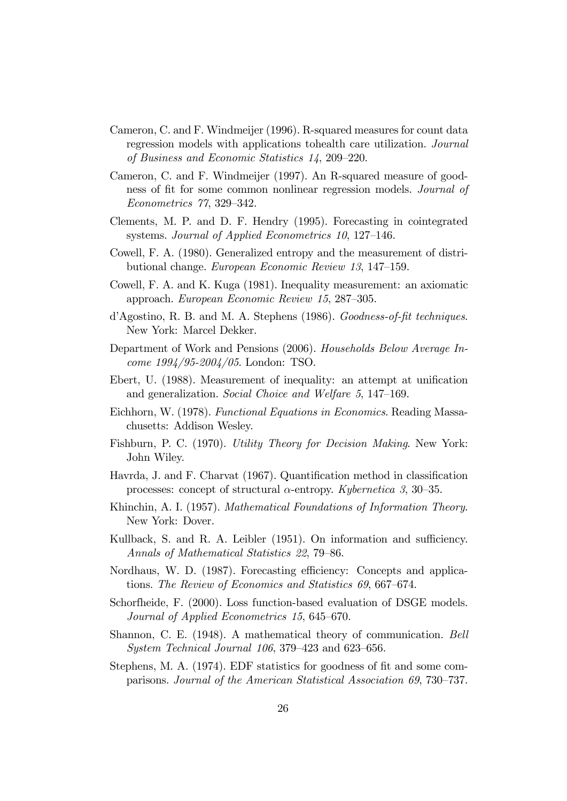- Cameron, C. and F. Windmeijer (1996). R-squared measures for count data regression models with applications tohealth care utilization. Journal of Business and Economic Statistics  $14$ , 209–220.
- Cameron, C. and F. Windmeijer (1997). An R-squared measure of goodness of fit for some common nonlinear regression models. Journal of  $Econometrics$   $77, 329-342.$
- Clements, M. P. and D. F. Hendry (1995). Forecasting in cointegrated systems. Journal of Applied Econometrics  $10$ , 127–146.
- Cowell, F. A. (1980). Generalized entropy and the measurement of distributional change. European Economic Review 13, 147–159.
- Cowell, F. A. and K. Kuga (1981). Inequality measurement: an axiomatic approach. European Economic Review 15, 287–305.
- d'Agostino, R. B. and M. A. Stephens (1986). Goodness-of-fit techniques. New York: Marcel Dekker.
- Department of Work and Pensions (2006). Households Below Average Income 1994/95-2004/05. London: TSO.
- Ebert, U. (1988). Measurement of inequality: an attempt at unification and generalization. Social Choice and Welfare 5, 147–169.
- Eichhorn, W. (1978). Functional Equations in Economics. Reading Massachusetts: Addison Wesley.
- Fishburn, P. C. (1970). Utility Theory for Decision Making. New York: John Wiley.
- Havrda, J. and F. Charvat (1967). Quantification method in classification processes: concept of structural  $\alpha$ -entropy. Kybernetica 3, 30–35.
- Khinchin, A. I. (1957). Mathematical Foundations of Information Theory. New York: Dover.
- Kullback, S. and R. A. Leibler (1951). On information and sufficiency. Annals of Mathematical Statistics 22, 79-86.
- Nordhaus, W. D. (1987). Forecasting efficiency: Concepts and applications. The Review of Economics and Statistics  $69, 667-674$ .
- Schorfheide, F. (2000). Loss function-based evaluation of DSGE models. Journal of Applied Econometrics 15, 645–670.
- Shannon, C. E. (1948). A mathematical theory of communication. Bell System Technical Journal  $106$ , 379–423 and 623–656.
- Stephens, M. A. (1974). EDF statistics for goodness of fit and some comparisons. Journal of the American Statistical Association 69, 730–737.